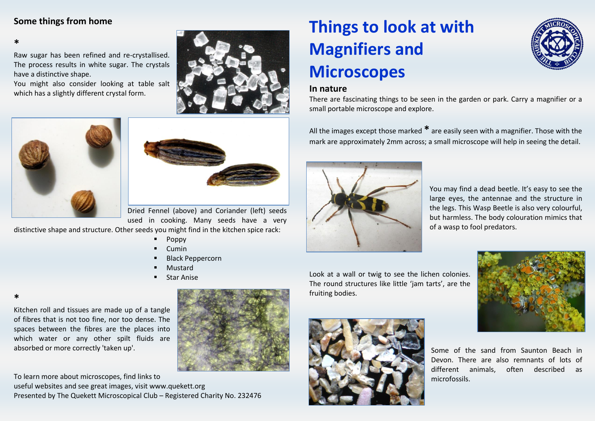## **Some things from home**

**\***

**\***

Raw sugar has been refined and re-crystallised. The process results in white sugar. The crystals have a distinctive shape.

You might also consider looking at table salt which has a slightly different crystal form.







Dried Fennel (above) and Coriander (left) seeds used in cooking. Many seeds have a very

distinctive shape and structure. Other seeds you might find in the kitchen spice rack:

- Poppy
- Cumin
- Black Peppercorn
- Mustard
- Star Anise



Kitchen roll and tissues are made up of a tangle of fibres that is not too fine, nor too dense. The spaces between the fibres are the places into which water or any other spilt fluids are absorbed or more correctly 'taken up'.

To learn more about microscopes, find links to useful websites and see great images, visit www.quekett.org Presented by The Quekett Microscopical Club – Registered Charity No. 232476

# **Things to look at with Magnifiers and Microscopes**



### **In nature**

There are fascinating things to be seen in the garden or park. Carry a magnifier or a small portable microscope and explore.

All the images except those marked **\*** are easily seen with a magnifier. Those with the mark are approximately 2mm across; a small microscope will help in seeing the detail.



You may find a dead beetle. It's easy to see the large eyes, the antennae and the structure in the legs. This Wasp Beetle is also very colourful, but harmless. The body colouration mimics that of a wasp to fool predators.

Look at a wall or twig to see the lichen colonies. The round structures like little 'jam tarts', are the fruiting bodies.





Some of the sand from Saunton Beach in Devon. There are also remnants of lots of different animals, often described as microfossils.